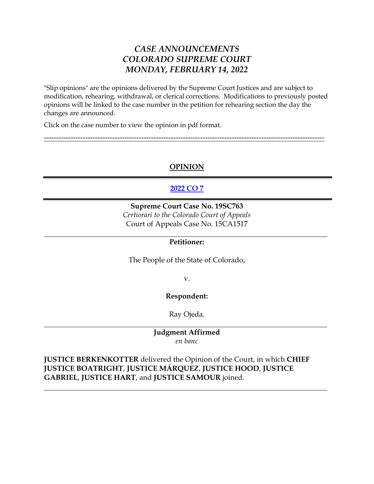# *CASE ANNOUNCEMENTS COLORADO SUPREME COURT MONDAY, FEBRUARY 14, 2022*

"Slip opinions" are the opinions delivered by the Supreme Court Justices and are subject to modification, rehearing, withdrawal, or clerical corrections. Modifications to previously posted opinions will be linked to the case number in the petition for rehearing section the day the changes are announced.

Click on the case number to view the opinion in pdf format.

# **OPINION**

-------------------------------------------------------------------------------------------------------------------

# **[2022 CO 7](https://www.courts.state.co.us/userfiles/file/Court_Probation/Supreme_Court/Opinions/2019/19SC763.pdf)**

### **Supreme Court Case No. 19SC763** *Certiorari to the Colorado Court of Appeals* Court of Appeals Case No. 15CA1517

### **Petitioner:**

The People of the State of Colorado,

v.

# **Respondent:**

Ray Ojeda.

### **Judgment Affirmed** *en banc*

**JUSTICE BERKENKOTTER** delivered the Opinion of the Court, in which **CHIEF JUSTICE BOATRIGHT**, **JUSTICE MÁRQUEZ**, **JUSTICE HOOD**, **JUSTICE GABRIEL**, **JUSTICE HART**, and **JUSTICE SAMOUR** joined.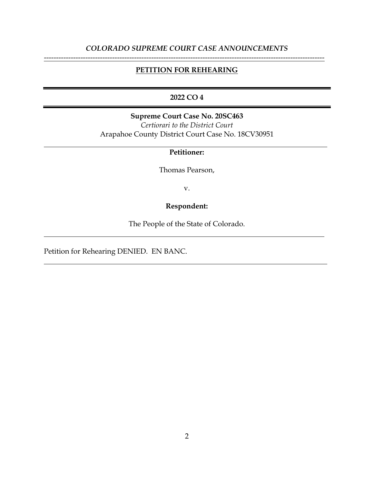# *COLORADO SUPREME COURT CASE ANNOUNCEMENTS* -------------------------------------------------------------------------------------------------------------------

#### **PETITION FOR REHEARING**

### **2022 CO 4**

**Supreme Court Case No. 20SC463** *Certiorari to the District Court* Arapahoe County District Court Case No. 18CV30951

#### **Petitioner:**

Thomas Pearson,

v.

# **Respondent:**

The People of the State of Colorado.

Petition for Rehearing DENIED. EN BANC.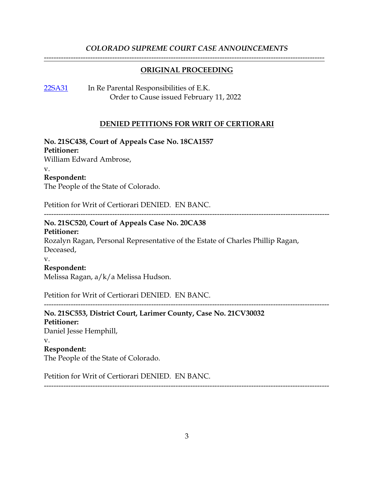## *COLORADO SUPREME COURT CASE ANNOUNCEMENTS* -------------------------------------------------------------------------------------------------------------------

### **ORIGINAL PROCEEDING**

[22SA31](https://www.courts.state.co.us/Courts/Supreme_Court/Proceedings/Index.cfm) In Re Parental Responsibilities of E.K. Order to Cause issued February 11, 2022

#### **DENIED PETITIONS FOR WRIT OF CERTIORARI**

---------------------------------------------------------------------------------------------------------------------

**No. 21SC438, Court of Appeals Case No. 18CA1557**

**Petitioner:**

William Edward Ambrose,

v.

#### **Respondent:**

The People of the State of Colorado.

Petition for Writ of Certiorari DENIED. EN BANC.

### **No. 21SC520, Court of Appeals Case No. 20CA38**

#### **Petitioner:**

Rozalyn Ragan, Personal Representative of the Estate of Charles Phillip Ragan, Deceased,

#### v.

#### **Respondent:**

Melissa Ragan, a/k/a Melissa Hudson.

Petition for Writ of Certiorari DENIED. EN BANC.

---------------------------------------------------------------------------------------------------------------------

# **No. 21SC553, District Court, Larimer County, Case No. 21CV30032**

**Petitioner:** Daniel Jesse Hemphill, v. **Respondent:** The People of the State of Colorado.

Petition for Writ of Certiorari DENIED. EN BANC.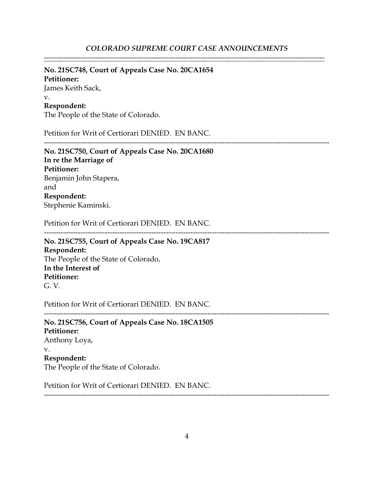-------------------------------------------------------------------------------------------------------------------

# **No. 21SC748, Court of Appeals Case No. 20CA1654**

**Petitioner:** James Keith Sack, v. **Respondent:**

The People of the State of Colorado.

Petition for Writ of Certiorari DENIED. EN BANC.

---------------------------------------------------------------------------------------------------------------------

**No. 21SC750, Court of Appeals Case No. 20CA1680 In re the Marriage of Petitioner:** Benjamin John Stapera, and **Respondent:** Stephenie Kaminski.

Petition for Writ of Certiorari DENIED. EN BANC.

--------------------------------------------------------------------------------------------------------------------- **No. 21SC755, Court of Appeals Case No. 19CA817**

**Respondent:** The People of the State of Colorado, **In the Interest of Petitioner:** G. V.

Petition for Writ of Certiorari DENIED. EN BANC.

**No. 21SC756, Court of Appeals Case No. 18CA1505 Petitioner:** Anthony Loya, v. **Respondent:** The People of the State of Colorado.

Petition for Writ of Certiorari DENIED. EN BANC.

---------------------------------------------------------------------------------------------------------------------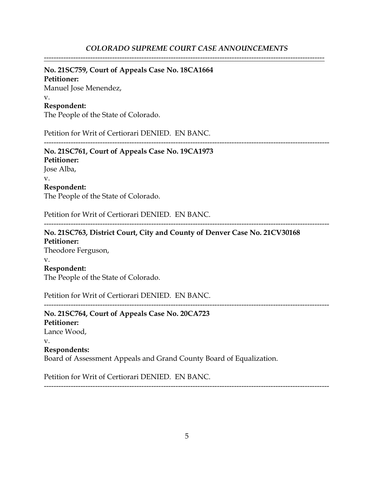-------------------------------------------------------------------------------------------------------------------

# **No. 21SC759, Court of Appeals Case No. 18CA1664**

**Petitioner:** Manuel Jose Menendez, v. **Respondent:**

The People of the State of Colorado.

Petition for Writ of Certiorari DENIED. EN BANC.

---------------------------------------------------------------------------------------------------------------------

**No. 21SC761, Court of Appeals Case No. 19CA1973 Petitioner:** Jose Alba, v. **Respondent:** The People of the State of Colorado.

Petition for Writ of Certiorari DENIED. EN BANC.

---------------------------------------------------------------------------------------------------------------------

**No. 21SC763, District Court, City and County of Denver Case No. 21CV30168 Petitioner:** Theodore Ferguson, v. **Respondent:** The People of the State of Colorado.

Petition for Writ of Certiorari DENIED. EN BANC.

**No. 21SC764, Court of Appeals Case No. 20CA723 Petitioner:** Lance Wood, v. **Respondents:** Board of Assessment Appeals and Grand County Board of Equalization.

---------------------------------------------------------------------------------------------------------------------

Petition for Writ of Certiorari DENIED. EN BANC.

5